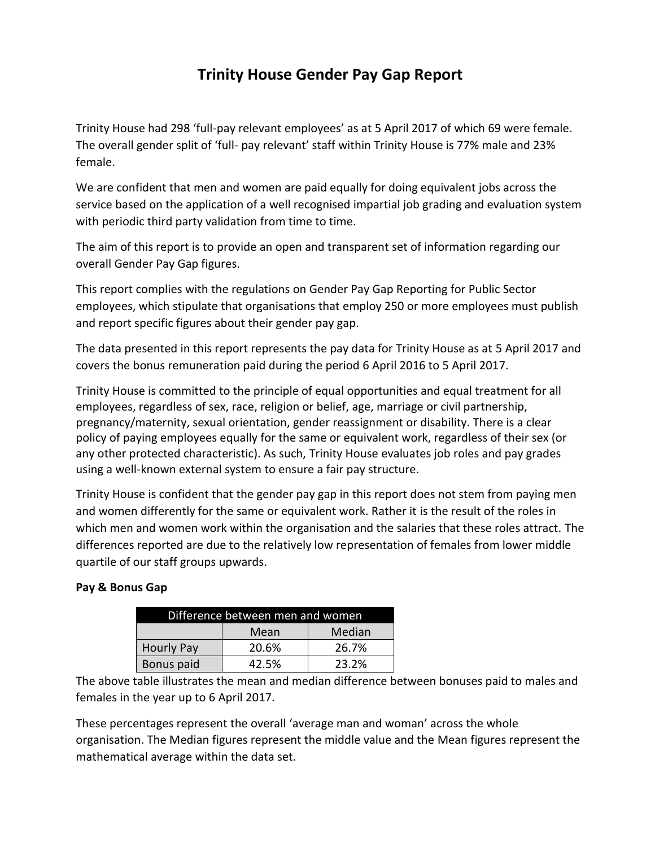# **Trinity House Gender Pay Gap Report**

Trinity House had 298 'full-pay relevant employees' as at 5 April 2017 of which 69 were female. The overall gender split of 'full- pay relevant' staff within Trinity House is 77% male and 23% female.

We are confident that men and women are paid equally for doing equivalent jobs across the service based on the application of a well recognised impartial job grading and evaluation system with periodic third party validation from time to time.

The aim of this report is to provide an open and transparent set of information regarding our overall Gender Pay Gap figures.

This report complies with the regulations on Gender Pay Gap Reporting for Public Sector employees, which stipulate that organisations that employ 250 or more employees must publish and report specific figures about their gender pay gap.

The data presented in this report represents the pay data for Trinity House as at 5 April 2017 and covers the bonus remuneration paid during the period 6 April 2016 to 5 April 2017.

Trinity House is committed to the principle of equal opportunities and equal treatment for all employees, regardless of sex, race, religion or belief, age, marriage or civil partnership, pregnancy/maternity, sexual orientation, gender reassignment or disability. There is a clear policy of paying employees equally for the same or equivalent work, regardless of their sex (or any other protected characteristic). As such, Trinity House evaluates job roles and pay grades using a well-known external system to ensure a fair pay structure.

Trinity House is confident that the gender pay gap in this report does not stem from paying men and women differently for the same or equivalent work. Rather it is the result of the roles in which men and women work within the organisation and the salaries that these roles attract. The differences reported are due to the relatively low representation of females from lower middle quartile of our staff groups upwards.

## **Pay & Bonus Gap**

| Difference between men and women |       |        |  |  |
|----------------------------------|-------|--------|--|--|
|                                  | Mean  | Median |  |  |
| <b>Hourly Pay</b>                | 20.6% | 26.7%  |  |  |
| Bonus paid                       | 42.5% | 23.2%  |  |  |

The above table illustrates the mean and median difference between bonuses paid to males and females in the year up to 6 April 2017.

These percentages represent the overall 'average man and woman' across the whole organisation. The Median figures represent the middle value and the Mean figures represent the mathematical average within the data set.